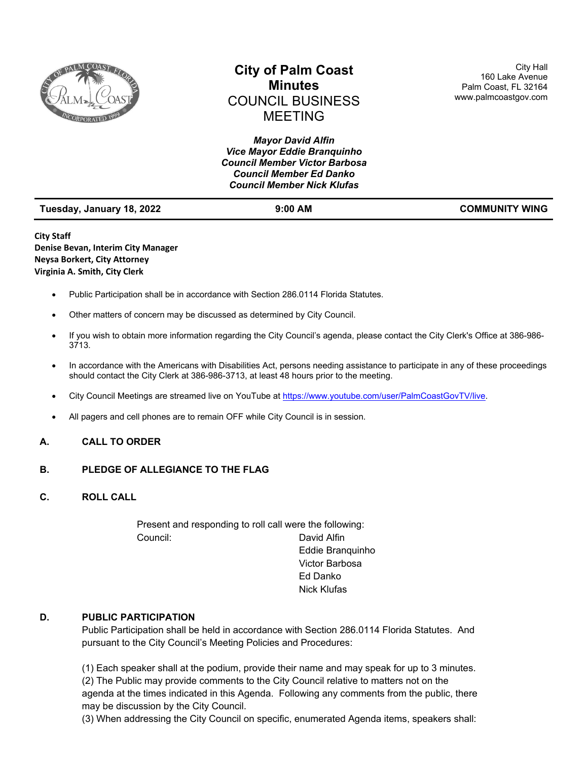

# **City of Palm Coast Minutes** COUNCIL BUSINESS MEETING

*Mayor David Alfin Vice Mayor Eddie Branquinho Council Member Victor Barbosa Council Member Ed Danko Council Member Nick Klufas*

City Hall 160 Lake Avenue Palm Coast, FL 32164 www.palmcoastgov.com

| Tuesday, January 18, 2022 |
|---------------------------|
|---------------------------|

**Tuesday 18, 200 AM COMMUNITY WING** 

**City Staff Denise Bevan, Interim City Manager Neysa Borkert, City Attorney Virginia A. Smith, City Clerk**

- Public Participation shall be in accordance with Section 286.0114 Florida Statutes.
- Other matters of concern may be discussed as determined by City Council.
- If you wish to obtain more information regarding the City Council's agenda, please contact the City Clerk's Office at 386-986- 3713.
- In accordance with the Americans with Disabilities Act, persons needing assistance to participate in any of these proceedings should contact the City Clerk at 386-986-3713, at least 48 hours prior to the meeting.
- City Council Meetings are streamed live on YouTube a[t https://www.youtube.com/user/PalmCoastGovTV/live.](https://www.youtube.com/user/PalmCoastGovTV/live)
- All pagers and cell phones are to remain OFF while City Council is in session.

# **A. CALL TO ORDER**

## **B. PLEDGE OF ALLEGIANCE TO THE FLAG**

**C. ROLL CALL**

Present and responding to roll call were the following: Council: David Alfin

Eddie Branquinho Victor Barbosa Ed Danko Nick Klufas

## **D. PUBLIC PARTICIPATION**

Public Participation shall be held in accordance with Section 286.0114 Florida Statutes. And pursuant to the City Council's Meeting Policies and Procedures:

(1) Each speaker shall at the podium, provide their name and may speak for up to 3 minutes. (2) The Public may provide comments to the City Council relative to matters not on the

agenda at the times indicated in this Agenda. Following any comments from the public, there may be discussion by the City Council.

(3) When addressing the City Council on specific, enumerated Agenda items, speakers shall: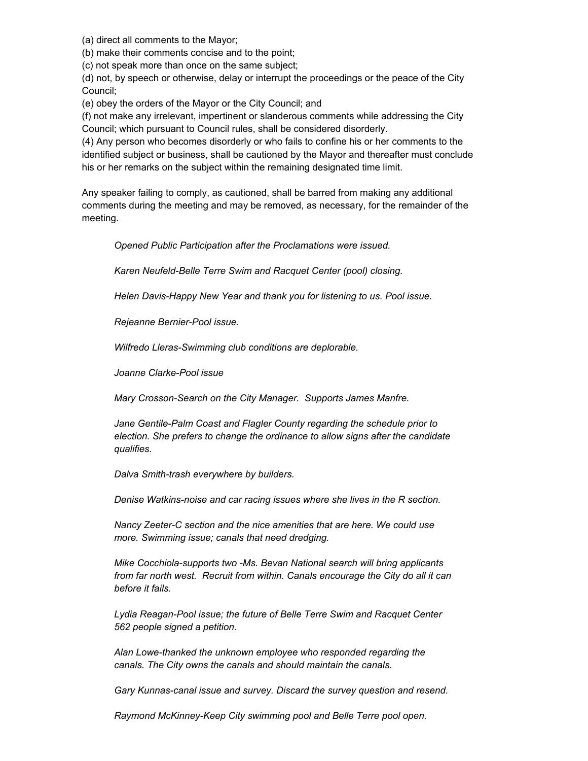(a) direct all comments to the Mayor;

(b) make their comments concise and to the point;

(c) not speak more than once on the same subject;

(d) not, by speech or otherwise, delay or interrupt the proceedings or the peace of the City Council;

(e) obey the orders of the Mayor or the City Council; and

(f) not make any irrelevant, impertinent or slanderous comments while addressing the City Council; which pursuant to Council rules, shall be considered disorderly.

(4) Any person who becomes disorderly or who fails to confine his or her comments to the identified subject or business, shall be cautioned by the Mayor and thereafter must conclude his or her remarks on the subject within the remaining designated time limit.

Any speaker failing to comply, as cautioned, shall be barred from making any additional comments during the meeting and may be removed, as necessary, for the remainder of the meeting.

*Opened Public Participation after the Proclamations were issued.* 

*Karen Neufeld-Belle Terre Swim and Racquet Center (pool) closing.* 

*Helen Davis-Happy New Year and thank you for listening to us. Pool issue.* 

*Rejeanne Bernier-Pool issue.*

*Wilfredo Lleras-Swimming club conditions are deplorable.* 

*Joanne Clarke-Pool issue*

*Mary Crosson-Search on the City Manager. Supports James Manfre.* 

*Jane Gentile-Palm Coast and Flagler County regarding the schedule prior to election. She prefers to change the ordinance to allow signs after the candidate qualifies.* 

*Dalva Smith-trash everywhere by builders.* 

*Denise Watkins-noise and car racing issues where she lives in the R section.* 

*Nancy Zeeter-C section and the nice amenities that are here. We could use more. Swimming issue; canals that need dredging.* 

*Mike Cocchiola-supports two -Ms. Bevan National search will bring applicants from far north west. Recruit from within. Canals encourage the City do all it can before it fails.* 

*Lydia Reagan-Pool issue; the future of Belle Terre Swim and Racquet Center 562 people signed a petition.* 

*Alan Lowe-thanked the unknown employee who responded regarding the canals. The City owns the canals and should maintain the canals.* 

*Gary Kunnas-canal issue and survey. Discard the survey question and resend.* 

*Raymond McKinney-Keep City swimming pool and Belle Terre pool open.*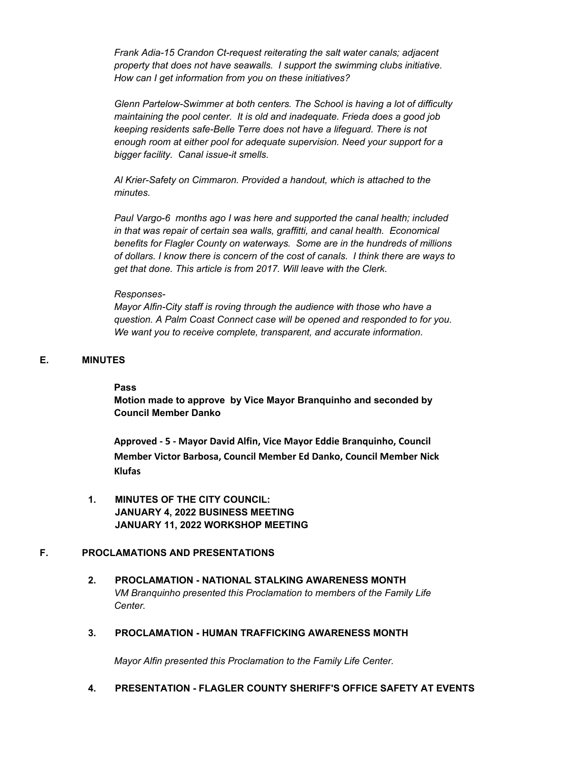*Frank Adia-15 Crandon Ct-request reiterating the salt water canals; adjacent property that does not have seawalls. I support the swimming clubs initiative. How can I get information from you on these initiatives?* 

*Glenn Partelow-Swimmer at both centers. The School is having a lot of difficulty maintaining the pool center. It is old and inadequate. Frieda does a good job keeping residents safe-Belle Terre does not have a lifeguard. There is not enough room at either pool for adequate supervision. Need your support for a bigger facility. Canal issue-it smells.* 

*Al Krier-Safety on Cimmaron. Provided a handout, which is attached to the minutes.* 

*Paul Vargo-6 months ago I was here and supported the canal health; included in that was repair of certain sea walls, graffitti, and canal health. Economical benefits for Flagler County on waterways. Some are in the hundreds of millions of dollars. I know there is concern of the cost of canals. I think there are ways to get that done. This article is from 2017. Will leave with the Clerk.* 

#### *Responses-*

*Mayor Alfin-City staff is roving through the audience with those who have a question. A Palm Coast Connect case will be opened and responded to for you. We want you to receive complete, transparent, and accurate information.*

# **E. MINUTES**

#### **Pass**

**Motion made to approve by Vice Mayor Branquinho and seconded by Council Member Danko**

**Approved - 5 - Mayor David Alfin, Vice Mayor Eddie Branquinho, Council Member Victor Barbosa, Council Member Ed Danko, Council Member Nick Klufas**

**1. MINUTES OF THE CITY COUNCIL: JANUARY 4, 2022 BUSINESS MEETING JANUARY 11, 2022 WORKSHOP MEETING**

## **F. PROCLAMATIONS AND PRESENTATIONS**

- **2. PROCLAMATION - NATIONAL STALKING AWARENESS MONTH** *VM Branquinho presented this Proclamation to members of the Family Life Center.*
- **3. PROCLAMATION - HUMAN TRAFFICKING AWARENESS MONTH**

*Mayor Alfin presented this Proclamation to the Family Life Center.*

**4. PRESENTATION - FLAGLER COUNTY SHERIFF'S OFFICE SAFETY AT EVENTS**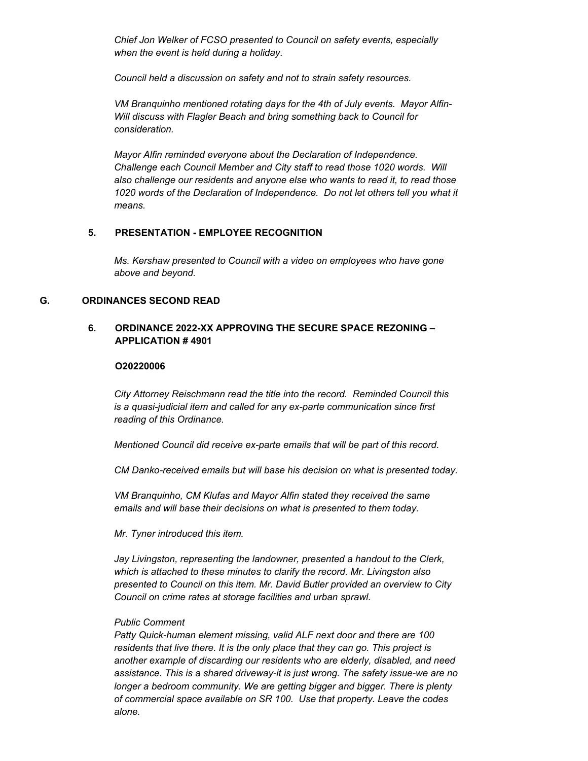*Chief Jon Welker of FCSO presented to Council on safety events, especially when the event is held during a holiday.* 

*Council held a discussion on safety and not to strain safety resources.* 

*VM Branquinho mentioned rotating days for the 4th of July events. Mayor Alfin-Will discuss with Flagler Beach and bring something back to Council for consideration.* 

*Mayor Alfin reminded everyone about the Declaration of Independence. Challenge each Council Member and City staff to read those 1020 words. Will also challenge our residents and anyone else who wants to read it, to read those*  1020 words of the Declaration of Independence. Do not let others tell you what it *means.*

# **5. PRESENTATION - EMPLOYEE RECOGNITION**

*Ms. Kershaw presented to Council with a video on employees who have gone above and beyond.*

## **G. ORDINANCES SECOND READ**

# **6. ORDINANCE 2022-XX APPROVING THE SECURE SPACE REZONING – APPLICATION # 4901**

## **O20220006**

*City Attorney Reischmann read the title into the record. Reminded Council this is a quasi-judicial item and called for any ex-parte communication since first reading of this Ordinance.* 

*Mentioned Council did receive ex-parte emails that will be part of this record.*

*CM Danko-received emails but will base his decision on what is presented today.* 

*VM Branquinho, CM Klufas and Mayor Alfin stated they received the same emails and will base their decisions on what is presented to them today.* 

*Mr. Tyner introduced this item.* 

*Jay Livingston, representing the landowner, presented a handout to the Clerk, which is attached to these minutes to clarify the record. Mr. Livingston also presented to Council on this item. Mr. David Butler provided an overview to City Council on crime rates at storage facilities and urban sprawl.* 

## *Public Comment*

*Patty Quick-human element missing, valid ALF next door and there are 100 residents that live there. It is the only place that they can go. This project is another example of discarding our residents who are elderly, disabled, and need assistance. This is a shared driveway-it is just wrong. The safety issue-we are no*  longer a bedroom community. We are getting bigger and bigger. There is plenty *of commercial space available on SR 100. Use that property. Leave the codes alone.*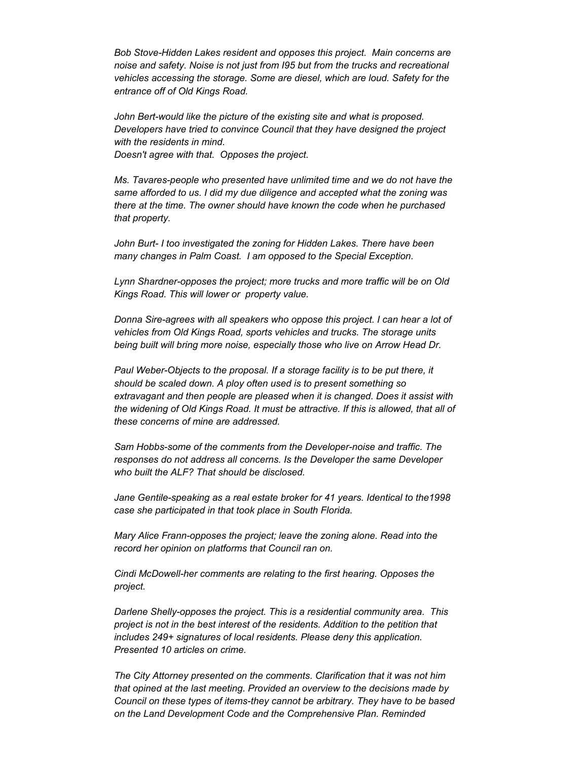*Bob Stove-Hidden Lakes resident and opposes this project. Main concerns are noise and safety. Noise is not just from I95 but from the trucks and recreational vehicles accessing the storage. Some are diesel, which are loud. Safety for the entrance off of Old Kings Road.*

*John Bert-would like the picture of the existing site and what is proposed. Developers have tried to convince Council that they have designed the project with the residents in mind. Doesn't agree with that. Opposes the project.* 

*Ms. Tavares-people who presented have unlimited time and we do not have the same afforded to us. I did my due diligence and accepted what the zoning was there at the time. The owner should have known the code when he purchased that property.* 

*John Burt- I too investigated the zoning for Hidden Lakes. There have been many changes in Palm Coast. I am opposed to the Special Exception.* 

*Lynn Shardner-opposes the project; more trucks and more traffic will be on Old Kings Road. This will lower or property value.* 

*Donna Sire-agrees with all speakers who oppose this project. I can hear a lot of vehicles from Old Kings Road, sports vehicles and trucks. The storage units being built will bring more noise, especially those who live on Arrow Head Dr.* 

Paul Weber-Objects to the proposal. If a storage facility is to be put there, it *should be scaled down. A ploy often used is to present something so extravagant and then people are pleased when it is changed. Does it assist with the widening of Old Kings Road. It must be attractive. If this is allowed, that all of these concerns of mine are addressed.* 

*Sam Hobbs-some of the comments from the Developer-noise and traffic. The responses do not address all concerns. Is the Developer the same Developer who built the ALF? That should be disclosed.* 

*Jane Gentile-speaking as a real estate broker for 41 years. Identical to the1998 case she participated in that took place in South Florida.* 

*Mary Alice Frann-opposes the project; leave the zoning alone. Read into the record her opinion on platforms that Council ran on.* 

*Cindi McDowell-her comments are relating to the first hearing. Opposes the project.* 

*Darlene Shelly-opposes the project. This is a residential community area. This project is not in the best interest of the residents. Addition to the petition that includes 249+ signatures of local residents. Please deny this application. Presented 10 articles on crime.* 

*The City Attorney presented on the comments. Clarification that it was not him that opined at the last meeting. Provided an overview to the decisions made by Council on these types of items-they cannot be arbitrary. They have to be based on the Land Development Code and the Comprehensive Plan. Reminded*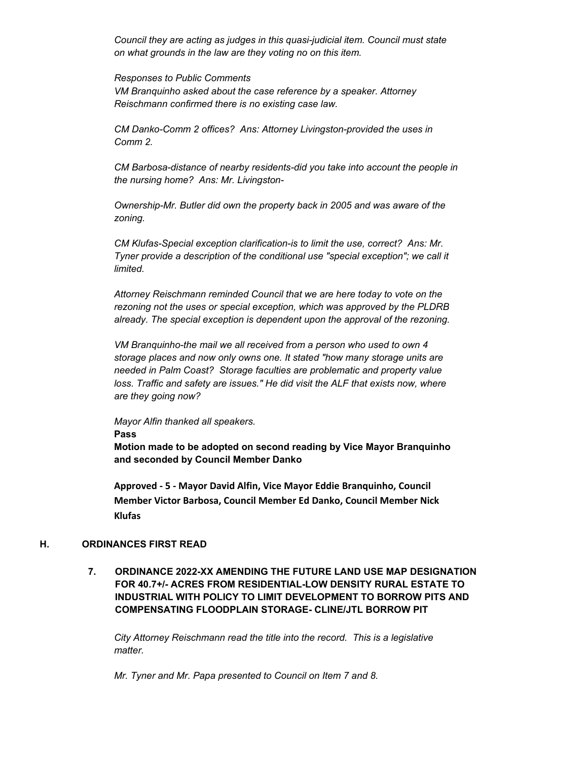*Council they are acting as judges in this quasi-judicial item. Council must state on what grounds in the law are they voting no on this item.* 

#### *Responses to Public Comments*

*VM Branquinho asked about the case reference by a speaker. Attorney Reischmann confirmed there is no existing case law.* 

*CM Danko-Comm 2 offices? Ans: Attorney Livingston-provided the uses in Comm 2.* 

*CM Barbosa-distance of nearby residents-did you take into account the people in the nursing home? Ans: Mr. Livingston-*

*Ownership-Mr. Butler did own the property back in 2005 and was aware of the zoning.* 

*CM Klufas-Special exception clarification-is to limit the use, correct? Ans: Mr. Tyner provide a description of the conditional use "special exception"; we call it limited.* 

*Attorney Reischmann reminded Council that we are here today to vote on the rezoning not the uses or special exception, which was approved by the PLDRB already. The special exception is dependent upon the approval of the rezoning.* 

*VM Branquinho-the mail we all received from a person who used to own 4 storage places and now only owns one. It stated "how many storage units are needed in Palm Coast? Storage faculties are problematic and property value*  loss. Traffic and safety are issues." He did visit the ALF that exists now, where *are they going now?* 

*Mayor Alfin thanked all speakers.*

**Pass**

**Motion made to be adopted on second reading by Vice Mayor Branquinho and seconded by Council Member Danko**

**Approved - 5 - Mayor David Alfin, Vice Mayor Eddie Branquinho, Council Member Victor Barbosa, Council Member Ed Danko, Council Member Nick Klufas**

## **H. ORDINANCES FIRST READ**

**7. ORDINANCE 2022-XX AMENDING THE FUTURE LAND USE MAP DESIGNATION FOR 40.7+/- ACRES FROM RESIDENTIAL-LOW DENSITY RURAL ESTATE TO INDUSTRIAL WITH POLICY TO LIMIT DEVELOPMENT TO BORROW PITS AND COMPENSATING FLOODPLAIN STORAGE- CLINE/JTL BORROW PIT**

*City Attorney Reischmann read the title into the record. This is a legislative matter.* 

*Mr. Tyner and Mr. Papa presented to Council on Item 7 and 8.*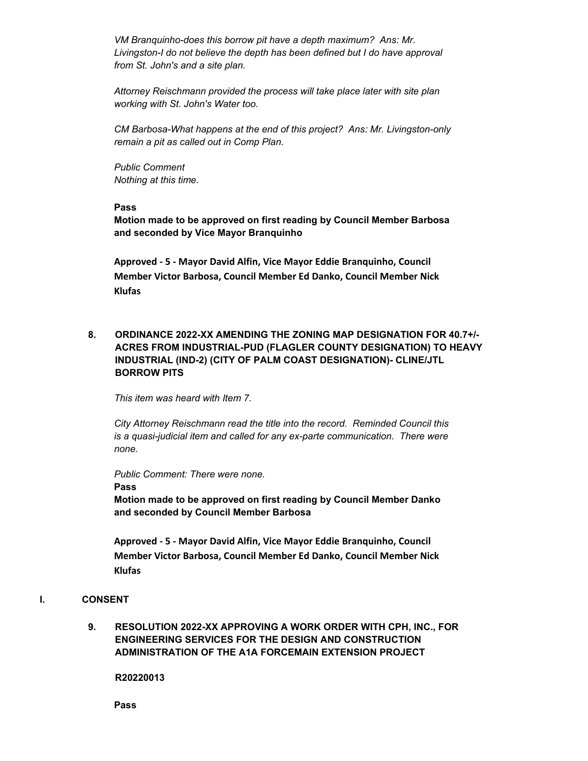*VM Branquinho-does this borrow pit have a depth maximum? Ans: Mr. Livingston-I do not believe the depth has been defined but I do have approval from St. John's and a site plan.* 

*Attorney Reischmann provided the process will take place later with site plan working with St. John's Water too.* 

*CM Barbosa-What happens at the end of this project? Ans: Mr. Livingston-only remain a pit as called out in Comp Plan.* 

*Public Comment Nothing at this time.*

## **Pass**

**Motion made to be approved on first reading by Council Member Barbosa and seconded by Vice Mayor Branquinho**

**Approved - 5 - Mayor David Alfin, Vice Mayor Eddie Branquinho, Council Member Victor Barbosa, Council Member Ed Danko, Council Member Nick Klufas**

**8. ORDINANCE 2022-XX AMENDING THE ZONING MAP DESIGNATION FOR 40.7+/- ACRES FROM INDUSTRIAL-PUD (FLAGLER COUNTY DESIGNATION) TO HEAVY INDUSTRIAL (IND-2) (CITY OF PALM COAST DESIGNATION)- CLINE/JTL BORROW PITS**

*This item was heard with Item 7.* 

*City Attorney Reischmann read the title into the record. Reminded Council this is a quasi-judicial item and called for any ex-parte communication. There were none.* 

*Public Comment: There were none.*

**Pass**

**Motion made to be approved on first reading by Council Member Danko and seconded by Council Member Barbosa**

**Approved - 5 - Mayor David Alfin, Vice Mayor Eddie Branquinho, Council Member Victor Barbosa, Council Member Ed Danko, Council Member Nick Klufas**

## **I. CONSENT**

**9. RESOLUTION 2022-XX APPROVING A WORK ORDER WITH CPH, INC., FOR ENGINEERING SERVICES FOR THE DESIGN AND CONSTRUCTION ADMINISTRATION OF THE A1A FORCEMAIN EXTENSION PROJECT** 

**R20220013**

**Pass**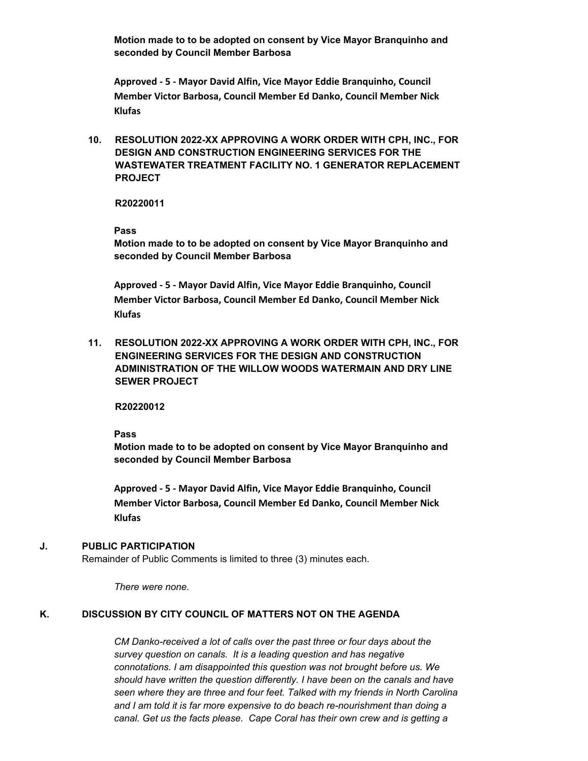**Motion made to to be adopted on consent by Vice Mayor Branquinho and seconded by Council Member Barbosa**

**Approved - 5 - Mayor David Alfin, Vice Mayor Eddie Branquinho, Council Member Victor Barbosa, Council Member Ed Danko, Council Member Nick Klufas**

**10. RESOLUTION 2022-XX APPROVING A WORK ORDER WITH CPH, INC., FOR DESIGN AND CONSTRUCTION ENGINEERING SERVICES FOR THE WASTEWATER TREATMENT FACILITY NO. 1 GENERATOR REPLACEMENT PROJECT** 

**R20220011**

**Pass**

**Motion made to to be adopted on consent by Vice Mayor Branquinho and seconded by Council Member Barbosa**

**Approved - 5 - Mayor David Alfin, Vice Mayor Eddie Branquinho, Council Member Victor Barbosa, Council Member Ed Danko, Council Member Nick Klufas**

**11. RESOLUTION 2022-XX APPROVING A WORK ORDER WITH CPH, INC., FOR ENGINEERING SERVICES FOR THE DESIGN AND CONSTRUCTION ADMINISTRATION OF THE WILLOW WOODS WATERMAIN AND DRY LINE SEWER PROJECT** 

**R20220012**

**Pass**

**Motion made to to be adopted on consent by Vice Mayor Branquinho and seconded by Council Member Barbosa**

**Approved - 5 - Mayor David Alfin, Vice Mayor Eddie Branquinho, Council Member Victor Barbosa, Council Member Ed Danko, Council Member Nick Klufas**

# **J. PUBLIC PARTICIPATION**

Remainder of Public Comments is limited to three (3) minutes each.

*There were none.*

# **K. DISCUSSION BY CITY COUNCIL OF MATTERS NOT ON THE AGENDA**

*CM Danko-received a lot of calls over the past three or four days about the survey question on canals. It is a leading question and has negative connotations. I am disappointed this question was not brought before us. We should have written the question differently. I have been on the canals and have seen where they are three and four feet. Talked with my friends in North Carolina and I am told it is far more expensive to do beach re-nourishment than doing a canal. Get us the facts please. Cape Coral has their own crew and is getting a*